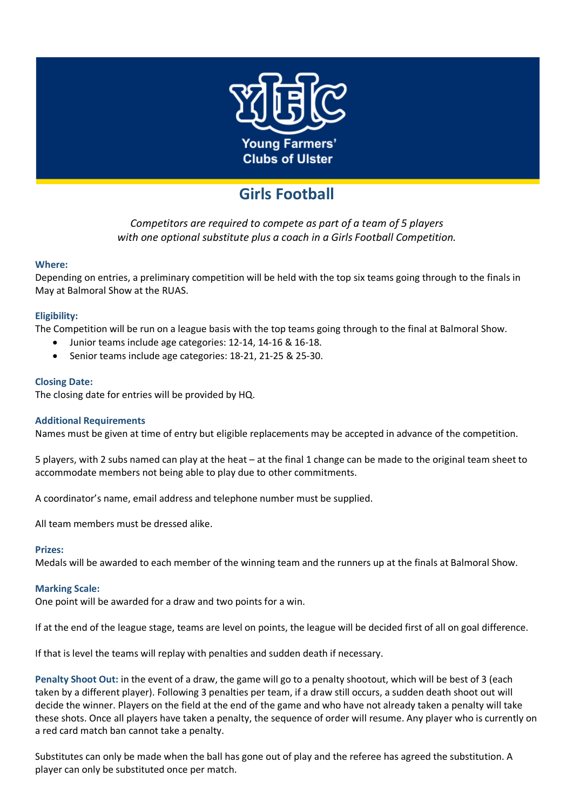

# **Girls Football**

*Competitors are required to compete as part of a team of 5 players with one optional substitute plus a coach in a Girls Football Competition.*

## **Where:**

Depending on entries, a preliminary competition will be held with the top six teams going through to the finals in May at Balmoral Show at the RUAS.

## **Eligibility:**

The Competition will be run on a league basis with the top teams going through to the final at Balmoral Show.

- Junior teams include age categories: 12-14, 14-16 & 16-18.
- Senior teams include age categories: 18-21, 21-25 & 25-30.

## **Closing Date:**

The closing date for entries will be provided by HQ.

### **Additional Requirements**

Names must be given at time of entry but eligible replacements may be accepted in advance of the competition.

5 players, with 2 subs named can play at the heat – at the final 1 change can be made to the original team sheet to accommodate members not being able to play due to other commitments.

A coordinator's name, email address and telephone number must be supplied.

All team members must be dressed alike.

### **Prizes:**

Medals will be awarded to each member of the winning team and the runners up at the finals at Balmoral Show.

### **Marking Scale:**

One point will be awarded for a draw and two points for a win.

If at the end of the league stage, teams are level on points, the league will be decided first of all on goal difference.

If that is level the teams will replay with penalties and sudden death if necessary.

**Penalty Shoot Out:** in the event of a draw, the game will go to a penalty shootout, which will be best of 3 (each taken by a different player). Following 3 penalties per team, if a draw still occurs, a sudden death shoot out will decide the winner. Players on the field at the end of the game and who have not already taken a penalty will take these shots. Once all players have taken a penalty, the sequence of order will resume. Any player who is currently on a red card match ban cannot take a penalty.

Substitutes can only be made when the ball has gone out of play and the referee has agreed the substitution. A player can only be substituted once per match.